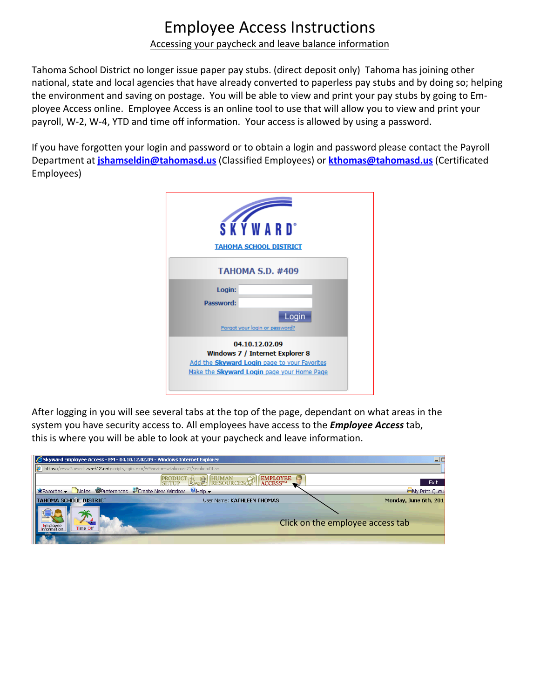# Employee Access Instructions

#### Accessing your paycheck and leave balance information

Tahoma School District no longer issue paper pay stubs. (direct deposit only) Tahoma has joining other national, state and local agencies that have already converted to paperless pay stubs and by doing so; helping the environment and saving on postage. You will be able to view and print your pay stubs by going to Em‐ ployee Access online. Employee Access is an online tool to use that will allow you to view and print your payroll, W‐2, W‐4, YTD and time off information. Your access is allowed by using a password.

If you have forgotten your login and password or to obtain a login and password please contact the Payroll Department at **jshamseldin@tahomasd.us** (Classified Employees) or **kthomas@tahomasd.us** (Certificated Employees)

| <b>SKÝWARD</b> <sup>*</sup><br><b>TAHOMA SCHOOL DISTRICT</b>                                                                                    |
|-------------------------------------------------------------------------------------------------------------------------------------------------|
| <b>TAHOMA S.D. #409</b>                                                                                                                         |
| Login:<br>Password:<br>Login<br>Forgot your login or password?                                                                                  |
| 04.10.12.02.09<br>Windows 7 / Internet Explorer 8<br>Add the Skyward Login page to your Favorites<br>Make the Skyward Login page your Home Page |

After logging in you will see several tabs at the top of the page, dependant on what areas in the system you have security access to. All employees have access to the *Employee Access* tab, this is where you will be able to look at your paycheck and leave information.

| Skyward Employee Access - EM - 04.10.12.02.09 - Windows Internet Explorer      |                                                        | 그드                               |
|--------------------------------------------------------------------------------|--------------------------------------------------------|----------------------------------|
| https://www2.nwrdc.wa-k12.net/scripts/cqiip.exe/WService=wtahomas71/semhom01.w |                                                        |                                  |
|                                                                                | <b>EMPLOYEE</b><br><b>RESOURCES</b><br><b>ACCESSTM</b> | Exit                             |
| <b>X</b> Favorites v Notes W Preferences W Create New Window                   | $H = \mathbf{E}$                                       | <b>OMy Print Queu</b>            |
| <b>TAHOMA SCHOOL DISTRICT</b>                                                  | User Name: KATHLEEN THOMAS                             | Monday, June 6th, 201            |
| Employee<br>Time Off<br><b>Information</b><br><b>TELEVISION</b>                |                                                        | Click on the employee access tab |
| <b>START OF BUILDING</b>                                                       |                                                        |                                  |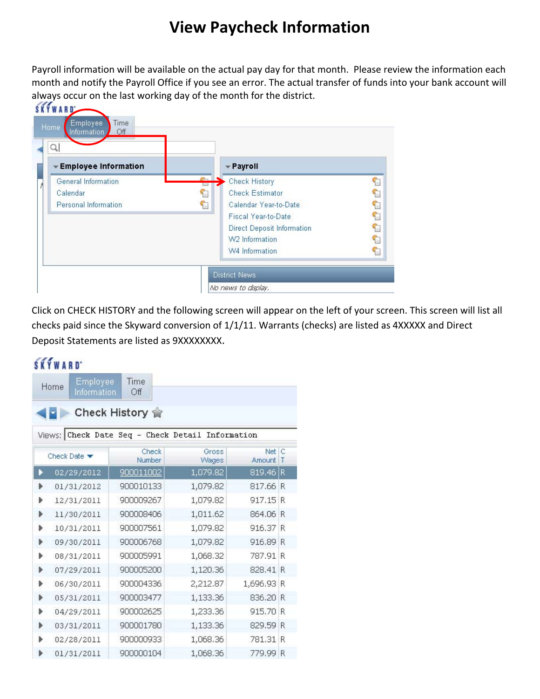## **View Paycheck Information**

Payroll information will be available on the actual pay day for that month. Please review the information each month and notify the Payroll Office if you see an error. The actual transfer of funds into your bank account will always occur on the last working day of the month for the district.<br>SKYWARD



Click on CHECK HISTORY and the following screen will appear on the left of your screen. This screen will list all checks paid since the Skyward conversion of 1/1/11. Warrants (checks) are listed as 4XXXXX and Direct Deposit Statements are listed as 9XXXXXXXX.

### **SKYWARD**

|   | Employee<br>Home<br>Information | Time<br>Off                                      |                |                 |        |
|---|---------------------------------|--------------------------------------------------|----------------|-----------------|--------|
|   |                                 | Check History 會                                  |                |                 |        |
|   |                                 | Views: Check Date Seq - Check Detail Information |                |                 |        |
|   | Check Date $\blacktriangledown$ | Check<br>Number                                  | Gross<br>Wages | Net C<br>Amount | $\top$ |
| ь | 02/29/2012                      | 900011002                                        | 1,079.82       | 819.46 R        |        |
| ь | 01/31/2012                      | 900010133                                        | 1,079.82       | 817.66 R        |        |
| Þ | 12/31/2011                      | 900009267                                        | 1,079.82       | 917.15 R        |        |
| Þ | 11/30/2011                      | 900008406                                        | 1,011.62       | 864.06 R        |        |
| Þ | 10/31/2011                      | 900007561                                        | 1,079.82       | 916.37          | R      |
| ٠ | 09/30/2011                      | 900006768                                        | 1,079.82       | 916.89 R        |        |
| ь | 08/31/2011                      | 900005991                                        | 1,068.32       | 787.91 R        |        |
| Þ | 07/29/2011                      | 900005200                                        | 1,120.36       | 828.41 R        |        |
| ь | 06/30/2011                      | 900004336                                        | 2,212.87       | 1,696.93 R      |        |
| Þ | 05/31/2011                      | 900003477                                        | 1,133.36       | 836,20 R        |        |
| Þ | 04/29/2011                      | 900002625                                        | 1,233.36       | 915.70 R        |        |
| Þ | 03/31/2011                      | 900001780                                        | 1,133.36       | 829.59 R        |        |
| ь | 02/28/2011                      | 900000933                                        | 1,068.36       | 781.31          | R      |
| ь | 01/31/2011                      | 900000104                                        | 1,068.36       | 779.99 R        |        |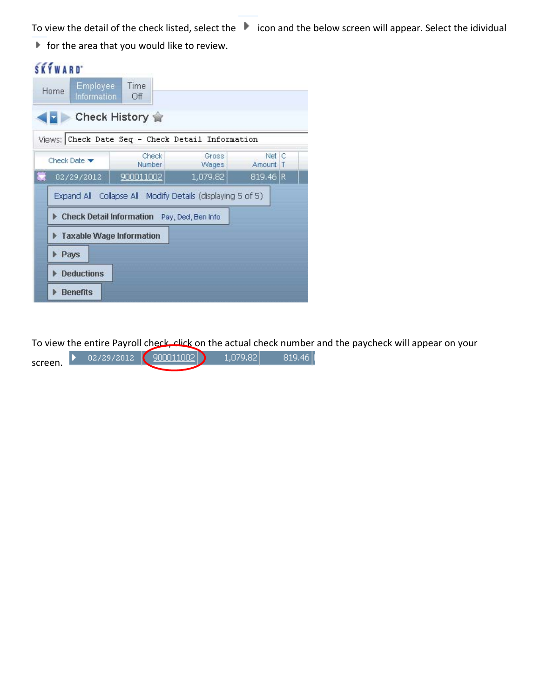To view the detail of the check listed, select the indican and the below screen will appear. Select the idividual

 $\blacktriangleright$  for the area that you would like to review.

 $\sim$  10  $\mu$ 

| <b>SKYWARD</b>                                   |                                                                                                           |                |                   |  |
|--------------------------------------------------|-----------------------------------------------------------------------------------------------------------|----------------|-------------------|--|
| <b>Employee</b><br>Home<br>Information           | <b>Time</b><br>Off                                                                                        |                |                   |  |
|                                                  | Check History 俞                                                                                           |                |                   |  |
| Views: Check Date Seq - Check Detail Information |                                                                                                           |                |                   |  |
| Check Date $\blacktriangledown$                  | Check<br>Number                                                                                           | Gross<br>Wages | Net C<br>Amount T |  |
| <b>Ind</b><br>02/29/2012                         | 900011002                                                                                                 | 1,079.82       | $819,46$ R        |  |
|                                                  | Expand All Collapse All Modify Details (displaying 5 of 5)<br>Check Detail Information Pay, Ded, Ben Info |                |                   |  |
| Taxable Wage Information                         |                                                                                                           |                |                   |  |
| Pays                                             |                                                                                                           |                |                   |  |
| <b>Deductions</b>                                |                                                                                                           |                |                   |  |
| <b>Benefits</b>                                  |                                                                                                           |                |                   |  |

To view the entire Payroll check, click on the actual check number and the paycheck will appear on your

| screen. | 02/29/2012 | 9000110021 | 1.079.82 | 819.461 |
|---------|------------|------------|----------|---------|
|         |            |            |          |         |